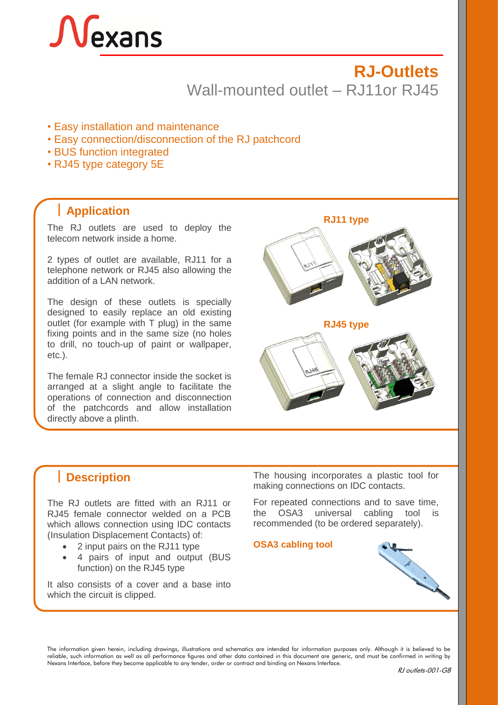# Nexans

# **RJ-Outlets** Wall-mounted outlet – RJ11or RJ45

- Easy installation and maintenance
- Easy connection/disconnection of the RJ patchcord
- BUS function integrated
- RJ45 type category 5E

## **Application**

The RJ outlets are used to deploy the telecom network inside a home.

2 types of outlet are available, RJ11 for a telephone network or RJ45 also allowing the addition of a LAN network.

The design of these outlets is specially designed to easily replace an old existing outlet (for example with T plug) in the same fixing points and in the same size (no holes to drill, no touch-up of paint or wallpaper, etc.).

The female RJ connector inside the socket is arranged at a slight angle to facilitate the operations of connection and disconnection of the patchcords and allow installation directly above a plinth.

**RJ11 type**







The RJ outlets are fitted with an RJ11 or RJ45 female connector welded on a PCB which allows connection using IDC contacts (Insulation Displacement Contacts) of:

- 2 input pairs on the RJ11 type
- 4 pairs of input and output (BUS function) on the RJ45 type

It also consists of a cover and a base into which the circuit is clipped.

**Description** The housing incorporates a plastic tool for making connections on IDC contacts.

> For repeated connections and to save time, the OSA3 universal cabling tool is recommended (to be ordered separately).

#### **OSA3 cabling tool**



The information given herein, including drawings, illustrations and schematics are intended for information purposes only. Although it is believed to be reliable, such information as well as all performance figures and other data contained in this document are generic, and must be confirmed in writing by Nexans Interface, before they become applicable to any tender, order or contract and binding on Nexans Interface.